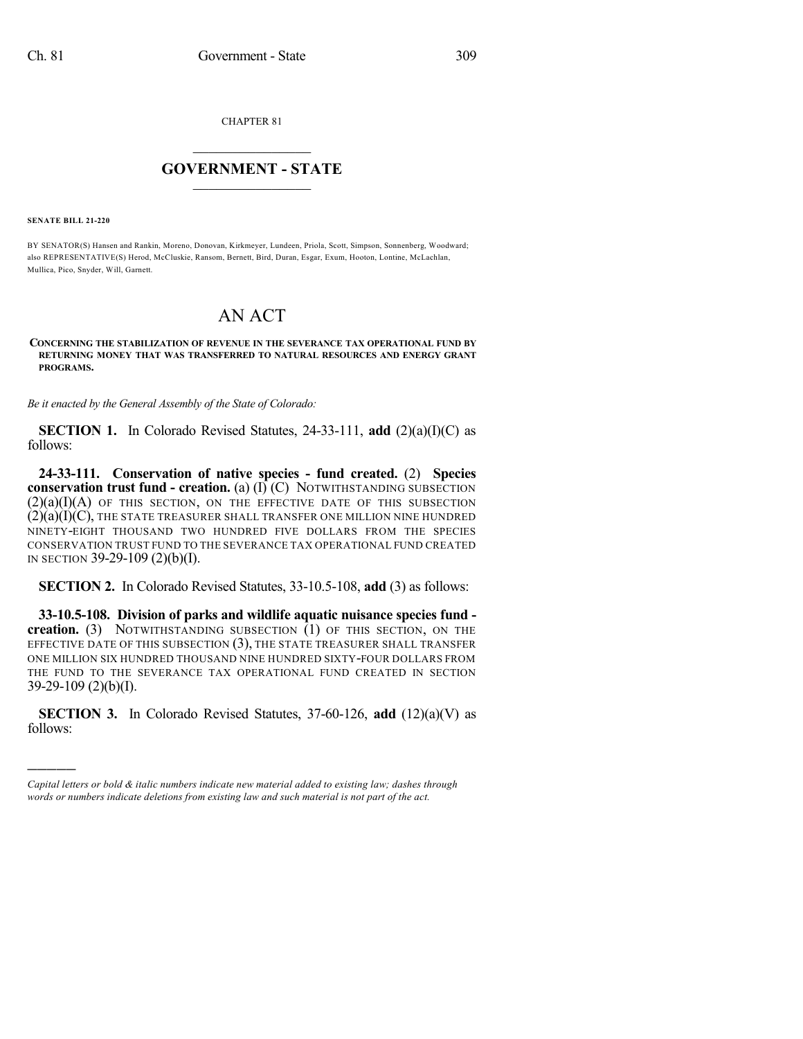CHAPTER 81

## $\overline{\phantom{a}}$  . The set of the set of the set of the set of the set of the set of the set of the set of the set of the set of the set of the set of the set of the set of the set of the set of the set of the set of the set o **GOVERNMENT - STATE**  $\_$

**SENATE BILL 21-220**

)))))

BY SENATOR(S) Hansen and Rankin, Moreno, Donovan, Kirkmeyer, Lundeen, Priola, Scott, Simpson, Sonnenberg, Woodward; also REPRESENTATIVE(S) Herod, McCluskie, Ransom, Bernett, Bird, Duran, Esgar, Exum, Hooton, Lontine, McLachlan, Mullica, Pico, Snyder, Will, Garnett.

## AN ACT

## **CONCERNING THE STABILIZATION OF REVENUE IN THE SEVERANCE TAX OPERATIONAL FUND BY RETURNING MONEY THAT WAS TRANSFERRED TO NATURAL RESOURCES AND ENERGY GRANT PROGRAMS.**

*Be it enacted by the General Assembly of the State of Colorado:*

**SECTION 1.** In Colorado Revised Statutes, 24-33-111, **add** (2)(a)(I)(C) as follows:

**24-33-111. Conservation of native species - fund created.** (2) **Species conservation trust fund - creation.** (a) (I) (C) NOTWITHSTANDING SUBSECTION  $(2)(a)(I)(A)$  of this section, on the effective date of this subsection  $(2)(a)(I)(C)$ , THE STATE TREASURER SHALL TRANSFER ONE MILLION NINE HUNDRED NINETY-EIGHT THOUSAND TWO HUNDRED FIVE DOLLARS FROM THE SPECIES CONSERVATION TRUST FUND TO THE SEVERANCE TAX OPERATIONAL FUND CREATED IN SECTION 39-29-109 (2)(b)(I).

**SECTION 2.** In Colorado Revised Statutes, 33-10.5-108, **add** (3) as follows:

**33-10.5-108. Division of parks and wildlife aquatic nuisance species fund creation.** (3) NOTWITHSTANDING SUBSECTION (1) OF THIS SECTION, ON THE EFFECTIVE DATE OF THIS SUBSECTION (3), THE STATE TREASURER SHALL TRANSFER ONE MILLION SIX HUNDRED THOUSAND NINE HUNDRED SIXTY-FOUR DOLLARS FROM THE FUND TO THE SEVERANCE TAX OPERATIONAL FUND CREATED IN SECTION 39-29-109 (2)(b)(I).

**SECTION 3.** In Colorado Revised Statutes, 37-60-126, **add** (12)(a)(V) as follows:

*Capital letters or bold & italic numbers indicate new material added to existing law; dashes through words or numbers indicate deletions from existing law and such material is not part of the act.*